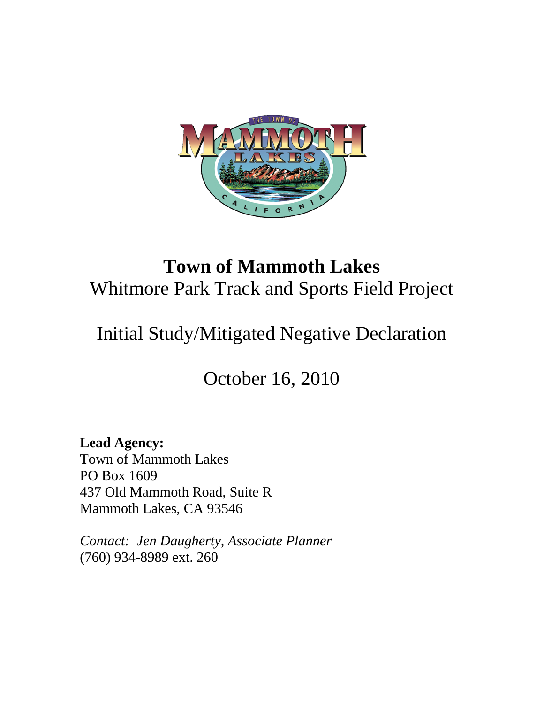

# **Town of Mammoth Lakes**  Whitmore Park Track and Sports Field Project

# Initial Study/Mitigated Negative Declaration

October 16, 2010

**Lead Agency:**  Town of Mammoth Lakes PO Box 1609 437 Old Mammoth Road, Suite R Mammoth Lakes, CA 93546

*Contact: Jen Daugherty, Associate Planner*  (760) 934-8989 ext. 260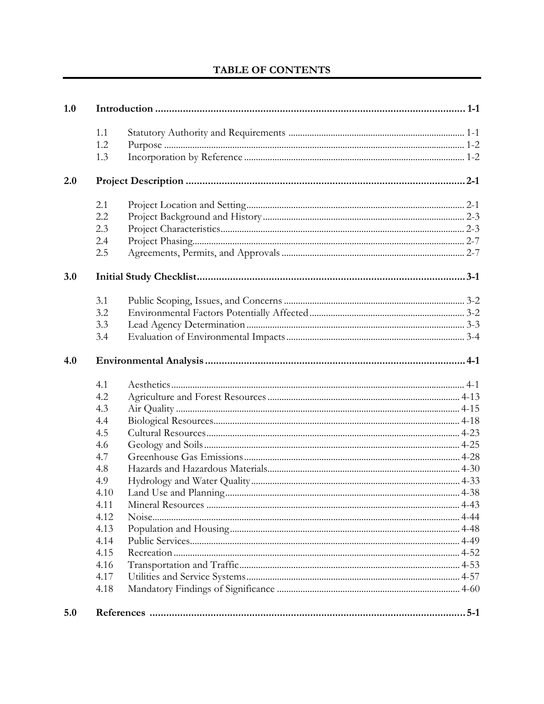# TABLE OF CONTENTS

| 1.0 |      |  |  |  |
|-----|------|--|--|--|
|     | 1.1  |  |  |  |
|     | 1.2  |  |  |  |
|     | 1.3  |  |  |  |
| 2.0 |      |  |  |  |
|     | 2.1  |  |  |  |
|     | 2.2  |  |  |  |
|     | 2.3  |  |  |  |
|     | 2.4  |  |  |  |
|     | 2.5  |  |  |  |
| 3.0 |      |  |  |  |
|     | 3.1  |  |  |  |
|     | 3.2  |  |  |  |
|     | 3.3  |  |  |  |
|     | 3.4  |  |  |  |
| 4.0 |      |  |  |  |
|     | 4.1  |  |  |  |
|     | 4.2  |  |  |  |
|     | 4.3  |  |  |  |
|     | 4.4  |  |  |  |
|     | 4.5  |  |  |  |
|     | 4.6  |  |  |  |
|     | 4.7  |  |  |  |
|     | 4.8  |  |  |  |
|     | 4.9  |  |  |  |
|     | 4.10 |  |  |  |
|     | 4.11 |  |  |  |
|     | 4.12 |  |  |  |
|     | 4.13 |  |  |  |
|     | 4.14 |  |  |  |
|     | 4.15 |  |  |  |
|     | 4.16 |  |  |  |
|     | 4.17 |  |  |  |
|     | 4.18 |  |  |  |
| 5.0 |      |  |  |  |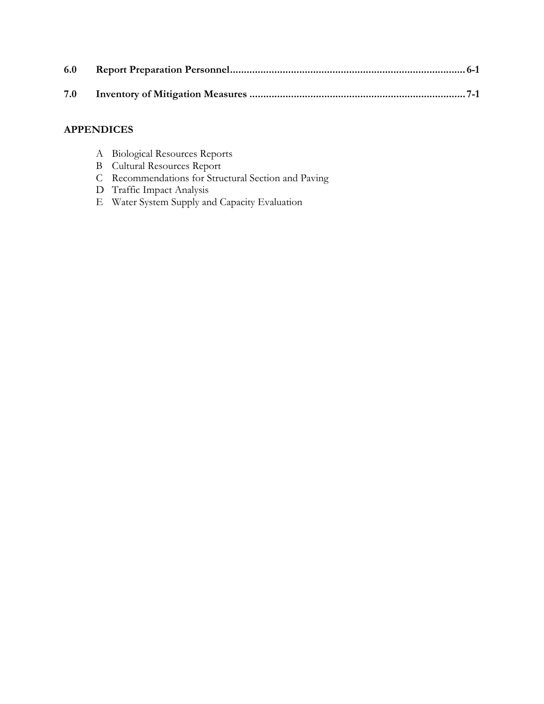| 6.0 |  |
|-----|--|
|     |  |

# **APPENDICES**

- A Biological Resources Reports
- B Cultural Resources Report
- C Recommendations for Structural Section and Paving
- D Traffic Impact Analysis
- E Water System Supply and Capacity Evaluation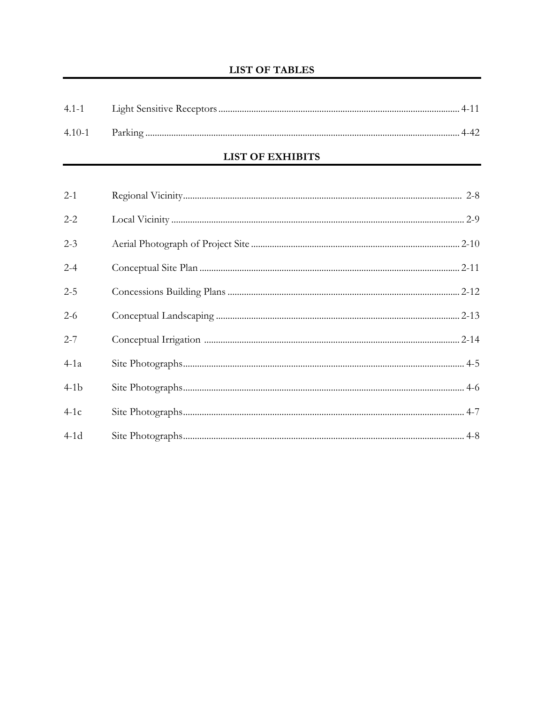# **LIST OF TABLES**

#### LIST OF EXHIBITS

| $2 - 1$ |  |
|---------|--|
| $2 - 2$ |  |
| $2 - 3$ |  |
| $2 - 4$ |  |
| $2 - 5$ |  |
| $2 - 6$ |  |
| $2 - 7$ |  |
| $4-1a$  |  |
| $4-1b$  |  |
| $4-1c$  |  |
| $4-1d$  |  |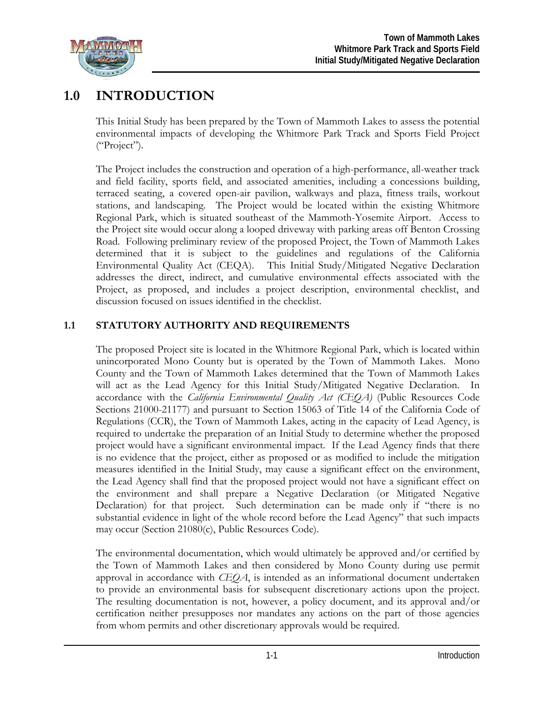

# **1.0 INTRODUCTION**

This Initial Study has been prepared by the Town of Mammoth Lakes to assess the potential environmental impacts of developing the Whitmore Park Track and Sports Field Project ("Project").

The Project includes the construction and operation of a high-performance, all-weather track and field facility, sports field, and associated amenities, including a concessions building, terraced seating, a covered open-air pavilion, walkways and plaza, fitness trails, workout stations, and landscaping. The Project would be located within the existing Whitmore Regional Park, which is situated southeast of the Mammoth-Yosemite Airport. Access to the Project site would occur along a looped driveway with parking areas off Benton Crossing Road. Following preliminary review of the proposed Project, the Town of Mammoth Lakes determined that it is subject to the guidelines and regulations of the California Environmental Quality Act (CEQA). This Initial Study/Mitigated Negative Declaration addresses the direct, indirect, and cumulative environmental effects associated with the Project, as proposed, and includes a project description, environmental checklist, and discussion focused on issues identified in the checklist.

## **1.1 STATUTORY AUTHORITY AND REQUIREMENTS**

The proposed Project site is located in the Whitmore Regional Park, which is located within unincorporated Mono County but is operated by the Town of Mammoth Lakes. Mono County and the Town of Mammoth Lakes determined that the Town of Mammoth Lakes will act as the Lead Agency for this Initial Study/Mitigated Negative Declaration. In accordance with the *California Environmental Quality Act (CEQA)* (Public Resources Code Sections 21000-21177) and pursuant to Section 15063 of Title 14 of the California Code of Regulations (CCR), the Town of Mammoth Lakes, acting in the capacity of Lead Agency, is required to undertake the preparation of an Initial Study to determine whether the proposed project would have a significant environmental impact. If the Lead Agency finds that there is no evidence that the project, either as proposed or as modified to include the mitigation measures identified in the Initial Study, may cause a significant effect on the environment, the Lead Agency shall find that the proposed project would not have a significant effect on the environment and shall prepare a Negative Declaration (or Mitigated Negative Declaration) for that project. Such determination can be made only if "there is no substantial evidence in light of the whole record before the Lead Agency" that such impacts may occur (Section 21080(c), Public Resources Code).

The environmental documentation, which would ultimately be approved and/or certified by the Town of Mammoth Lakes and then considered by Mono County during use permit approval in accordance with *CEQA*, is intended as an informational document undertaken to provide an environmental basis for subsequent discretionary actions upon the project. The resulting documentation is not, however, a policy document, and its approval and/or certification neither presupposes nor mandates any actions on the part of those agencies from whom permits and other discretionary approvals would be required.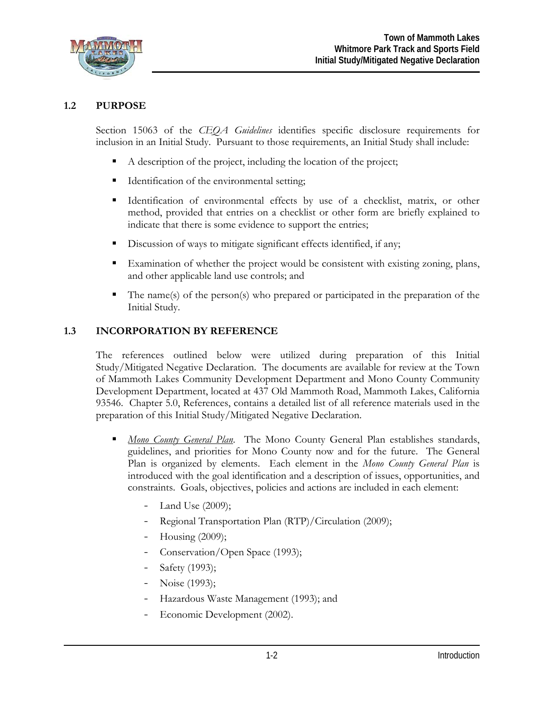

## **1.2 PURPOSE**

Section 15063 of the *CEQA Guidelines* identifies specific disclosure requirements for inclusion in an Initial Study. Pursuant to those requirements, an Initial Study shall include:

- A description of the project, including the location of the project;
- Identification of the environmental setting;
- Identification of environmental effects by use of a checklist, matrix, or other method, provided that entries on a checklist or other form are briefly explained to indicate that there is some evidence to support the entries;
- Discussion of ways to mitigate significant effects identified, if any;
- Examination of whether the project would be consistent with existing zoning, plans, and other applicable land use controls; and
- The name(s) of the person(s) who prepared or participated in the preparation of the Initial Study.

## **1.3 INCORPORATION BY REFERENCE**

The references outlined below were utilized during preparation of this Initial Study/Mitigated Negative Declaration. The documents are available for review at the Town of Mammoth Lakes Community Development Department and Mono County Community Development Department, located at 437 Old Mammoth Road, Mammoth Lakes, California 93546. Chapter 5.0, References, contains a detailed list of all reference materials used in the preparation of this Initial Study/Mitigated Negative Declaration.

- *Mono County General Plan*. The Mono County General Plan establishes standards, guidelines, and priorities for Mono County now and for the future. The General Plan is organized by elements. Each element in the *Mono County General Plan* is introduced with the goal identification and a description of issues, opportunities, and constraints. Goals, objectives, policies and actions are included in each element:
	- Land Use (2009);
	- Regional Transportation Plan (RTP)/Circulation (2009);
	- Housing (2009);
	- Conservation/Open Space (1993);
	- Safety (1993);
	- Noise (1993);
	- Hazardous Waste Management (1993); and
	- Economic Development (2002).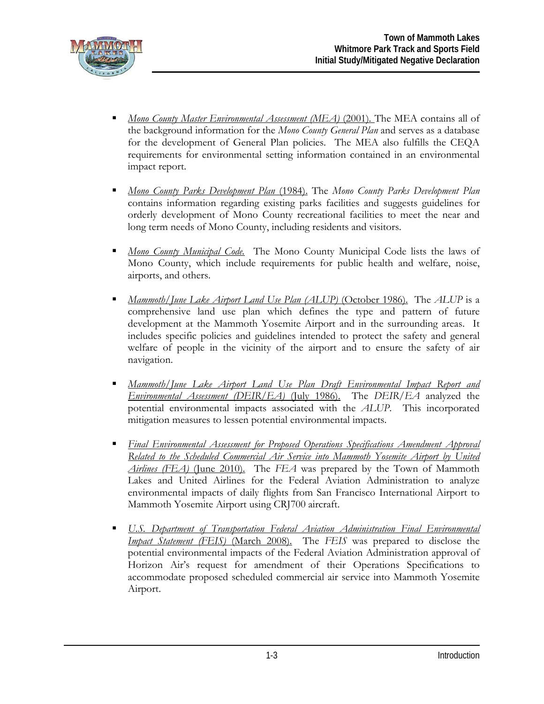

- *Mono County Master Environmental Assessment (MEA) (2001). The MEA contains all of* the background information for the *Mono County General Plan* and serves as a database for the development of General Plan policies. The MEA also fulfills the CEQA requirements for environmental setting information contained in an environmental impact report.
- *Mono County Parks Development Plan* (1984). The *Mono County Parks Development Plan*  contains information regarding existing parks facilities and suggests guidelines for orderly development of Mono County recreational facilities to meet the near and long term needs of Mono County, including residents and visitors.
- *Mono County Municipal Code.* The Mono County Municipal Code lists the laws of Mono County, which include requirements for public health and welfare, noise, airports, and others.
- *Mammoth/June Lake Airport Land Use Plan (ALUP)* (October 1986). The *ALUP* is a comprehensive land use plan which defines the type and pattern of future development at the Mammoth Yosemite Airport and in the surrounding areas. It includes specific policies and guidelines intended to protect the safety and general welfare of people in the vicinity of the airport and to ensure the safety of air navigation.
- *Mammoth/June Lake Airport Land Use Plan Draft Environmental Impact Report and Environmental Assessment (DEIR/EA)* (July 1986). The *DEIR/EA* analyzed the potential environmental impacts associated with the *ALUP*. This incorporated mitigation measures to lessen potential environmental impacts.
- *Final Environmental Assessment for Proposed Operations Specifications Amendment Approval Related to the Scheduled Commercial Air Service into Mammoth Yosemite Airport by United Airlines (FEA)* (June 2010). The *FEA* was prepared by the Town of Mammoth Lakes and United Airlines for the Federal Aviation Administration to analyze environmental impacts of daily flights from San Francisco International Airport to Mammoth Yosemite Airport using CRJ700 aircraft.
- *U.S. Department of Transportation Federal Aviation Administration Final Environmental Impact Statement (FEIS)* (March 2008). The *FEIS* was prepared to disclose the potential environmental impacts of the Federal Aviation Administration approval of Horizon Air's request for amendment of their Operations Specifications to accommodate proposed scheduled commercial air service into Mammoth Yosemite Airport.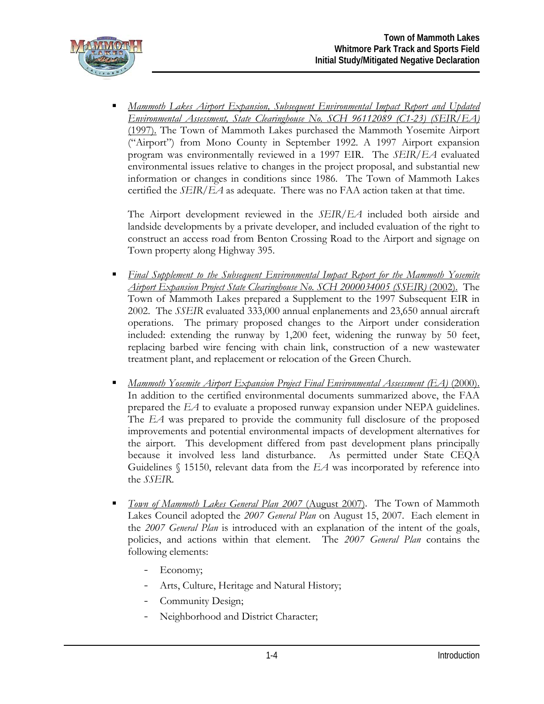

 *Mammoth Lakes Airport Expansion, Subsequent Environmental Impact Report and Updated Environmental Assessment, State Clearinghouse No. SCH 96112089 (C1-23) (SEIR/EA)* (1997). The Town of Mammoth Lakes purchased the Mammoth Yosemite Airport ("Airport") from Mono County in September 1992. A 1997 Airport expansion program was environmentally reviewed in a 1997 EIR. The *SEIR/EA* evaluated environmental issues relative to changes in the project proposal, and substantial new information or changes in conditions since 1986. The Town of Mammoth Lakes certified the *SEIR/EA* as adequate. There was no FAA action taken at that time.

The Airport development reviewed in the *SEIR/EA* included both airside and landside developments by a private developer, and included evaluation of the right to construct an access road from Benton Crossing Road to the Airport and signage on Town property along Highway 395.

- *Final Supplement to the Subsequent Environmental Impact Report for the Mammoth Yosemite Airport Expansion Project State Clearinghouse No. SCH 2000034005 (SSEIR) (2002).* The Town of Mammoth Lakes prepared a Supplement to the 1997 Subsequent EIR in 2002. The *SSEIR* evaluated 333,000 annual enplanements and 23,650 annual aircraft operations. The primary proposed changes to the Airport under consideration included: extending the runway by 1,200 feet, widening the runway by 50 feet, replacing barbed wire fencing with chain link, construction of a new wastewater treatment plant, and replacement or relocation of the Green Church.
- *Mammoth Yosemite Airport Expansion Project Final Environmental Assessment (EA)* (2000). In addition to the certified environmental documents summarized above, the FAA prepared the *EA* to evaluate a proposed runway expansion under NEPA guidelines. The *EA* was prepared to provide the community full disclosure of the proposed improvements and potential environmental impacts of development alternatives for the airport. This development differed from past development plans principally because it involved less land disturbance. As permitted under State CEQA Guidelines § 15150, relevant data from the *EA* was incorporated by reference into the *SSEIR*.
- **Town of Mammoth Lakes General Plan 2007 (August 2007). The Town of Mammoth** Lakes Council adopted the *2007 General Plan* on August 15, 2007. Each element in the *2007 General Plan* is introduced with an explanation of the intent of the goals, policies, and actions within that element. The *2007 General Plan* contains the following elements:
	- Economy;
	- Arts, Culture, Heritage and Natural History;
	- Community Design;
	- Neighborhood and District Character;